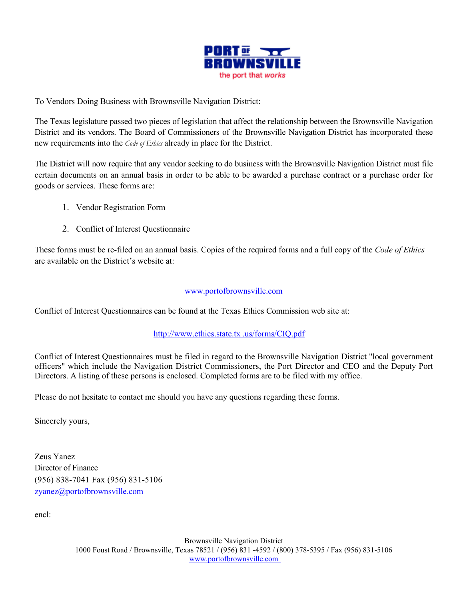

To Vendors Doing Business with Brownsville Navigation District:

The Texas legislature passed two pieces of legislation that affect the relationship between the Brownsville Navigation District and its vendors. The Board of Commissioners of the Brownsville Navigation District has incorporated these new requirements into the *Code of Ethics* already in place for the District.

The District will now require that any vendor seeking to do business with the Brownsville Navigation District must file certain documents on an annual basis in order to be able to be awarded a purchase contract or a purchase order for goods or services. These forms are:

- 1. Vendor Registration Form
- 2. Conflict of Interest Questionnaire

These forms must be re-filed on an annual basis. Copies of the required forms and a full copy of the *Code of Ethics* are available on the District's website at:

## [www.portofbrownsville.com](http://www.portofbrownsville.com/)

Conflict of Interest Questionnaires can be found at the Texas Ethics Commission web site at:

## [http://www.ethics.state.tx .us/forms/CIQ.pdf](http://www.ethics.state.tx.us/forms/CIQ.pdf)

Conflict of Interest Questionnaires must be filed in regard to the Brownsville Navigation District "local government officers" which include the Navigation District Commissioners, the Port Director and CEO and the Deputy Port Directors. A listing of these persons is enclosed. Completed forms are to be filed with my office.

Please do not hesitate to contact me should you have any questions regarding these forms.

Sincerely yours,

Zeus Yanez Director of Finance (956) 838-7041 Fax (956) 831-5106 zyanez@portofbrownsville.com

encl: